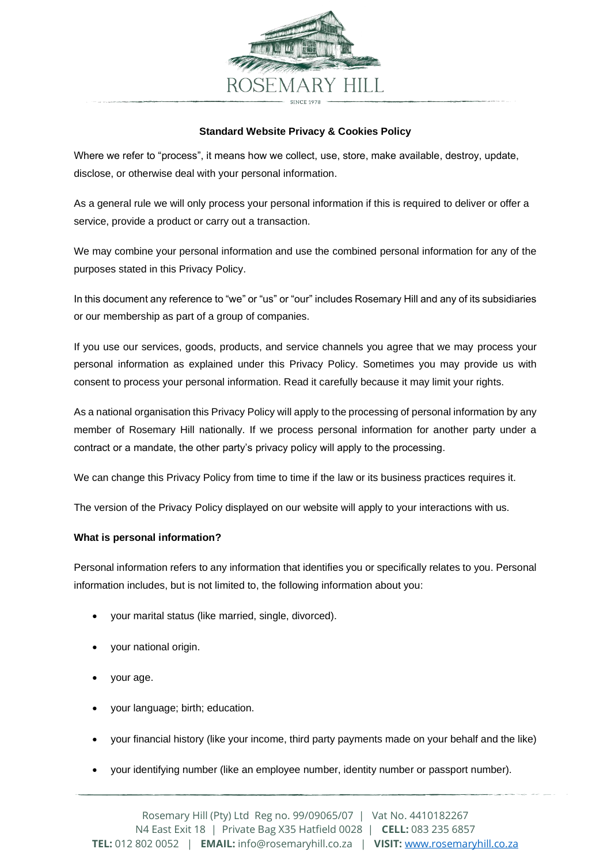

## **Standard Website Privacy & Cookies Policy**

Where we refer to "process", it means how we collect, use, store, make available, destroy, update, disclose, or otherwise deal with your personal information.

As a general rule we will only process your personal information if this is required to deliver or offer a service, provide a product or carry out a transaction.

We may combine your personal information and use the combined personal information for any of the purposes stated in this Privacy Policy.

In this document any reference to "we" or "us" or "our" includes Rosemary Hill and any of its subsidiaries or our membership as part of a group of companies.

If you use our services, goods, products, and service channels you agree that we may process your personal information as explained under this Privacy Policy. Sometimes you may provide us with consent to process your personal information. Read it carefully because it may limit your rights.

As a national organisation this Privacy Policy will apply to the processing of personal information by any member of Rosemary Hill nationally. If we process personal information for another party under a contract or a mandate, the other party's privacy policy will apply to the processing.

We can change this Privacy Policy from time to time if the law or its business practices requires it.

The version of the Privacy Policy displayed on our website will apply to your interactions with us.

## **What is personal information?**

Personal information refers to any information that identifies you or specifically relates to you. Personal information includes, but is not limited to, the following information about you:

- your marital status (like married, single, divorced).
- your national origin.
- your age.
- your language; birth; education.
- your financial history (like your income, third party payments made on your behalf and the like)
- your identifying number (like an employee number, identity number or passport number).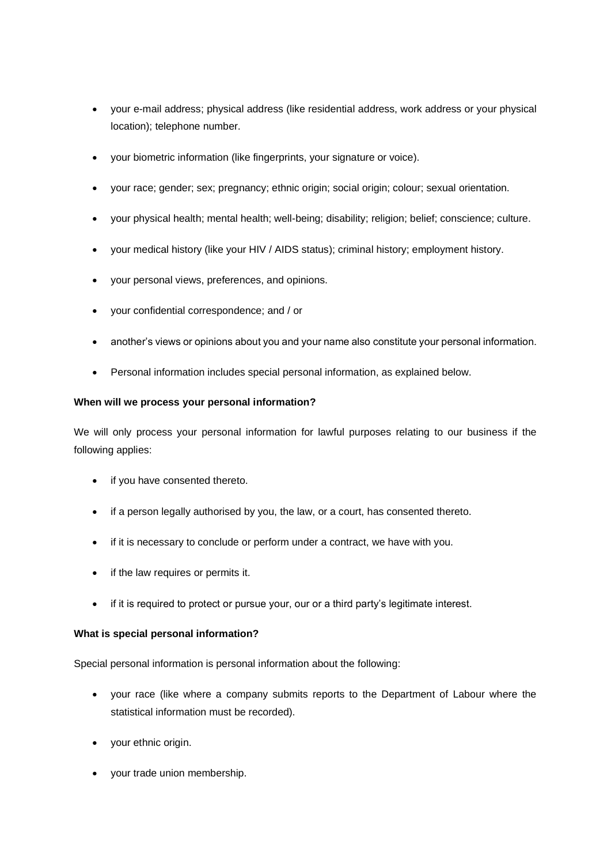- your e-mail address; physical address (like residential address, work address or your physical location); telephone number.
- your biometric information (like fingerprints, your signature or voice).
- your race; gender; sex; pregnancy; ethnic origin; social origin; colour; sexual orientation.
- your physical health; mental health; well-being; disability; religion; belief; conscience; culture.
- your medical history (like your HIV / AIDS status); criminal history; employment history.
- your personal views, preferences, and opinions.
- your confidential correspondence; and / or
- another's views or opinions about you and your name also constitute your personal information.
- Personal information includes special personal information, as explained below.

#### **When will we process your personal information?**

We will only process your personal information for lawful purposes relating to our business if the following applies:

- if you have consented thereto.
- if a person legally authorised by you, the law, or a court, has consented thereto.
- if it is necessary to conclude or perform under a contract, we have with you.
- if the law requires or permits it.
- if it is required to protect or pursue your, our or a third party's legitimate interest.

## **What is special personal information?**

Special personal information is personal information about the following:

- your race (like where a company submits reports to the Department of Labour where the statistical information must be recorded).
- your ethnic origin.
- your trade union membership.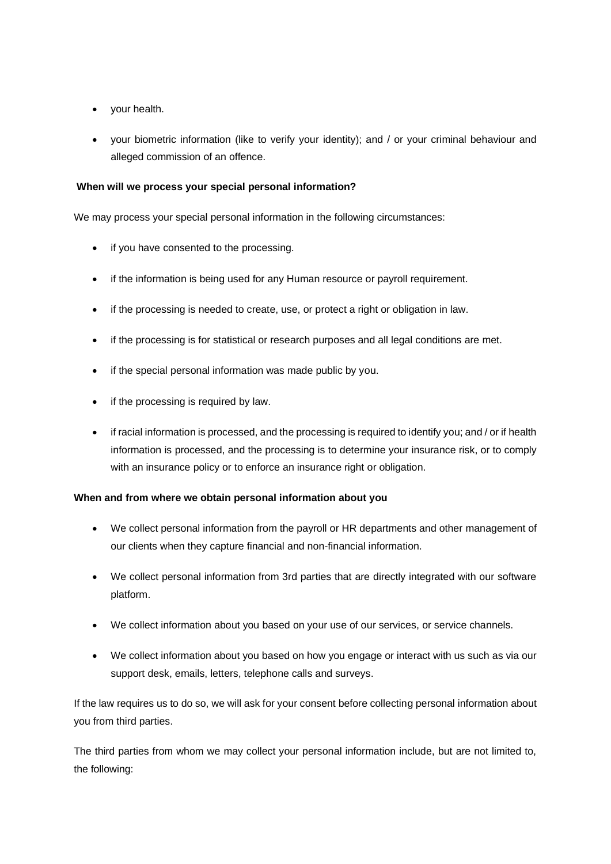- your health.
- your biometric information (like to verify your identity); and / or your criminal behaviour and alleged commission of an offence.

# **When will we process your special personal information?**

We may process your special personal information in the following circumstances:

- if you have consented to the processing.
- if the information is being used for any Human resource or payroll requirement.
- if the processing is needed to create, use, or protect a right or obligation in law.
- if the processing is for statistical or research purposes and all legal conditions are met.
- if the special personal information was made public by you.
- if the processing is required by law.
- if racial information is processed, and the processing is required to identify you; and / or if health information is processed, and the processing is to determine your insurance risk, or to comply with an insurance policy or to enforce an insurance right or obligation.

## **When and from where we obtain personal information about you**

- We collect personal information from the payroll or HR departments and other management of our clients when they capture financial and non-financial information.
- We collect personal information from 3rd parties that are directly integrated with our software platform.
- We collect information about you based on your use of our services, or service channels.
- We collect information about you based on how you engage or interact with us such as via our support desk, emails, letters, telephone calls and surveys.

If the law requires us to do so, we will ask for your consent before collecting personal information about you from third parties.

The third parties from whom we may collect your personal information include, but are not limited to, the following: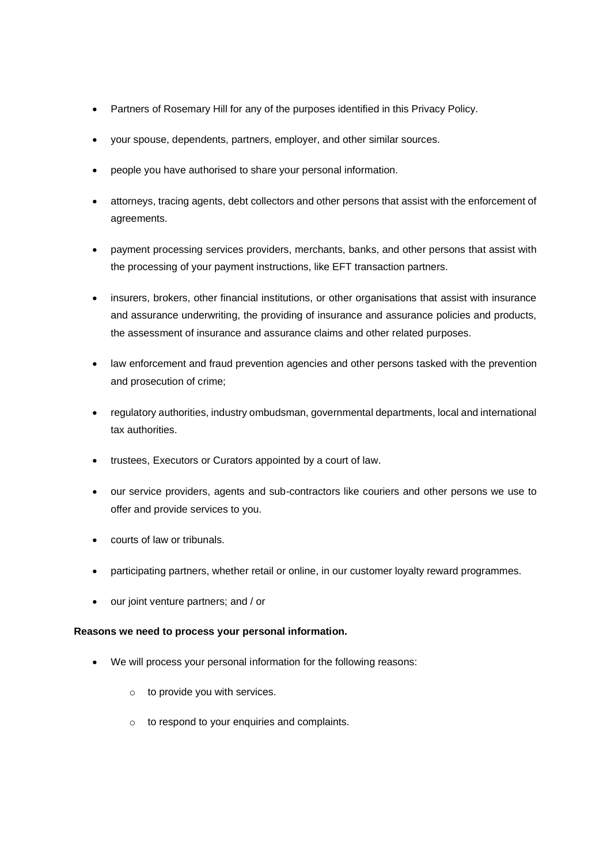- Partners of Rosemary Hill for any of the purposes identified in this Privacy Policy.
- your spouse, dependents, partners, employer, and other similar sources.
- people you have authorised to share your personal information.
- attorneys, tracing agents, debt collectors and other persons that assist with the enforcement of agreements.
- payment processing services providers, merchants, banks, and other persons that assist with the processing of your payment instructions, like EFT transaction partners.
- insurers, brokers, other financial institutions, or other organisations that assist with insurance and assurance underwriting, the providing of insurance and assurance policies and products, the assessment of insurance and assurance claims and other related purposes.
- law enforcement and fraud prevention agencies and other persons tasked with the prevention and prosecution of crime;
- regulatory authorities, industry ombudsman, governmental departments, local and international tax authorities.
- trustees, Executors or Curators appointed by a court of law.
- our service providers, agents and sub-contractors like couriers and other persons we use to offer and provide services to you.
- courts of law or tribunals.
- participating partners, whether retail or online, in our customer loyalty reward programmes.
- our joint venture partners; and / or

## **Reasons we need to process your personal information.**

- We will process your personal information for the following reasons:
	- $\circ$  to provide you with services.
	- o to respond to your enquiries and complaints.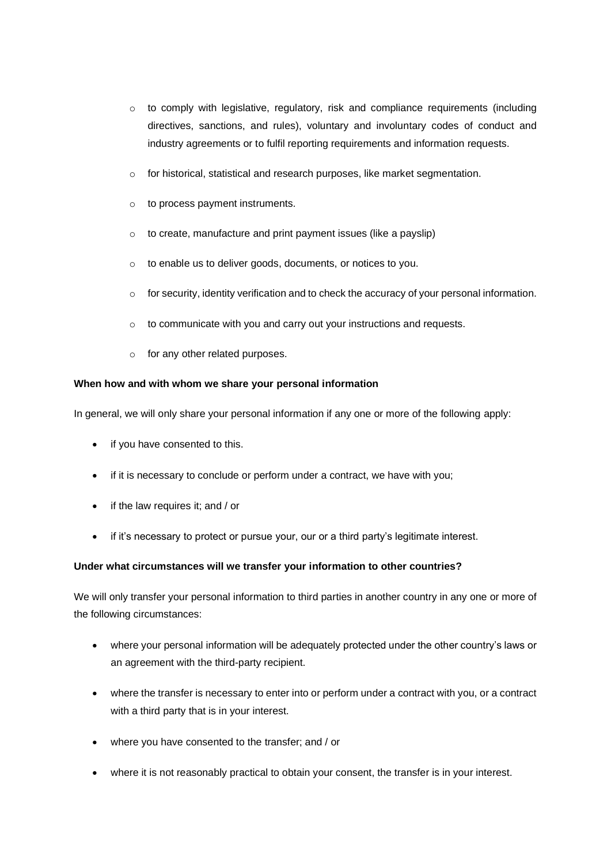- $\circ$  to comply with legislative, regulatory, risk and compliance reguirements (including directives, sanctions, and rules), voluntary and involuntary codes of conduct and industry agreements or to fulfil reporting requirements and information requests.
- o for historical, statistical and research purposes, like market segmentation.
- o to process payment instruments.
- o to create, manufacture and print payment issues (like a payslip)
- o to enable us to deliver goods, documents, or notices to you.
- $\circ$  for security, identity verification and to check the accuracy of your personal information.
- o to communicate with you and carry out your instructions and requests.
- o for any other related purposes.

## **When how and with whom we share your personal information**

In general, we will only share your personal information if any one or more of the following apply:

- if you have consented to this.
- if it is necessary to conclude or perform under a contract, we have with you;
- if the law requires it; and / or
- if it's necessary to protect or pursue your, our or a third party's legitimate interest.

## **Under what circumstances will we transfer your information to other countries?**

We will only transfer your personal information to third parties in another country in any one or more of the following circumstances:

- where your personal information will be adequately protected under the other country's laws or an agreement with the third-party recipient.
- where the transfer is necessary to enter into or perform under a contract with you, or a contract with a third party that is in your interest.
- where you have consented to the transfer; and / or
- where it is not reasonably practical to obtain your consent, the transfer is in your interest.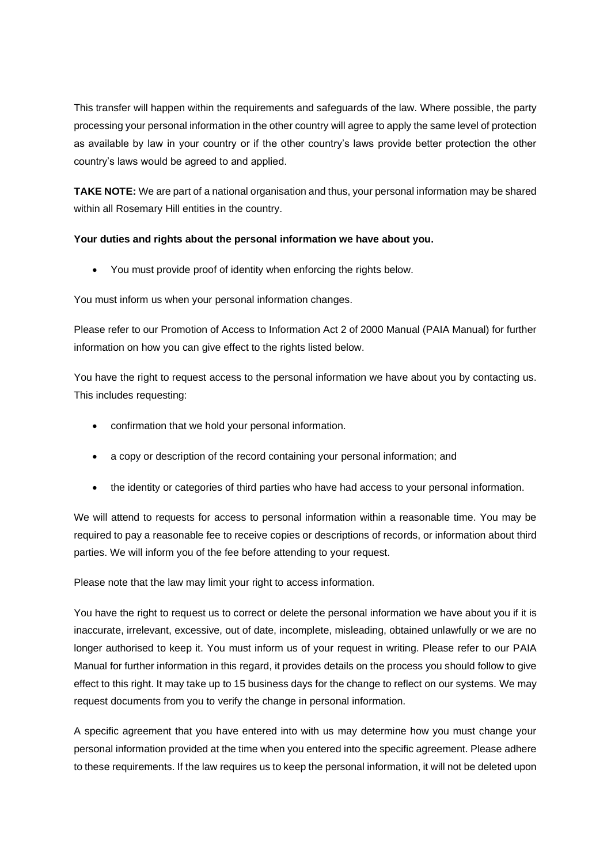This transfer will happen within the requirements and safeguards of the law. Where possible, the party processing your personal information in the other country will agree to apply the same level of protection as available by law in your country or if the other country's laws provide better protection the other country's laws would be agreed to and applied.

**TAKE NOTE:** We are part of a national organisation and thus, your personal information may be shared within all Rosemary Hill entities in the country.

# **Your duties and rights about the personal information we have about you.**

• You must provide proof of identity when enforcing the rights below.

You must inform us when your personal information changes.

Please refer to our Promotion of Access to Information Act 2 of 2000 Manual (PAIA Manual) for further information on how you can give effect to the rights listed below.

You have the right to request access to the personal information we have about you by contacting us. This includes requesting:

- confirmation that we hold your personal information.
- a copy or description of the record containing your personal information; and
- the identity or categories of third parties who have had access to your personal information.

We will attend to requests for access to personal information within a reasonable time. You may be required to pay a reasonable fee to receive copies or descriptions of records, or information about third parties. We will inform you of the fee before attending to your request.

Please note that the law may limit your right to access information.

You have the right to request us to correct or delete the personal information we have about you if it is inaccurate, irrelevant, excessive, out of date, incomplete, misleading, obtained unlawfully or we are no longer authorised to keep it. You must inform us of your request in writing. Please refer to our PAIA Manual for further information in this regard, it provides details on the process you should follow to give effect to this right. It may take up to 15 business days for the change to reflect on our systems. We may request documents from you to verify the change in personal information.

A specific agreement that you have entered into with us may determine how you must change your personal information provided at the time when you entered into the specific agreement. Please adhere to these requirements. If the law requires us to keep the personal information, it will not be deleted upon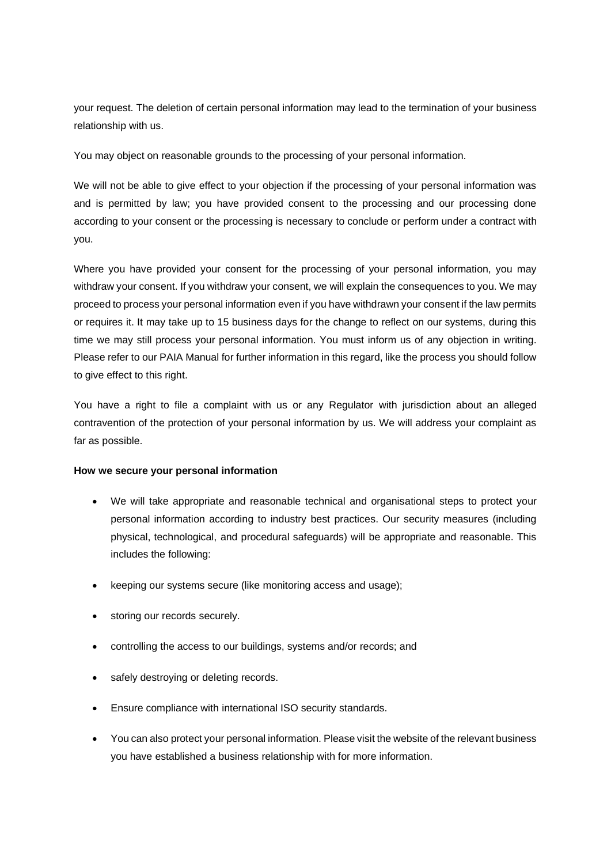your request. The deletion of certain personal information may lead to the termination of your business relationship with us.

You may object on reasonable grounds to the processing of your personal information.

We will not be able to give effect to your objection if the processing of your personal information was and is permitted by law; you have provided consent to the processing and our processing done according to your consent or the processing is necessary to conclude or perform under a contract with you.

Where you have provided your consent for the processing of your personal information, you may withdraw your consent. If you withdraw your consent, we will explain the consequences to you. We may proceed to process your personal information even if you have withdrawn your consent if the law permits or requires it. It may take up to 15 business days for the change to reflect on our systems, during this time we may still process your personal information. You must inform us of any objection in writing. Please refer to our PAIA Manual for further information in this regard, like the process you should follow to give effect to this right.

You have a right to file a complaint with us or any Regulator with jurisdiction about an alleged contravention of the protection of your personal information by us. We will address your complaint as far as possible.

## **How we secure your personal information**

- We will take appropriate and reasonable technical and organisational steps to protect your personal information according to industry best practices. Our security measures (including physical, technological, and procedural safeguards) will be appropriate and reasonable. This includes the following:
- keeping our systems secure (like monitoring access and usage);
- storing our records securely.
- controlling the access to our buildings, systems and/or records; and
- safely destroying or deleting records.
- Ensure compliance with international ISO security standards.
- You can also protect your personal information. Please visit the website of the relevant business you have established a business relationship with for more information.